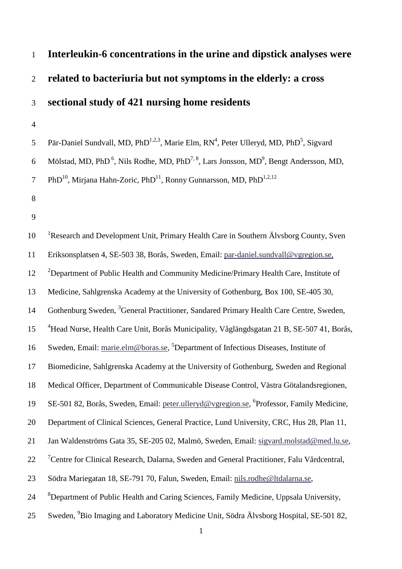# 1 **Interleukin-6 concentrations in the urine and dipstick analyses were**  2 **related to bacteriuria but not symptoms in the elderly: a cross**  3 **sectional study of 421 nursing home residents**

4

5 Pär-Daniel Sundvall, MD, PhD<sup>1,2,3</sup>, Marie Elm,  $RN^4$ , Peter Ulleryd, MD, PhD<sup>5</sup>, Sigvard

6 Mölstad, MD, PhD<sup>6</sup>, Nils Rodhe, MD, PhD<sup>7, 8</sup>, Lars Jonsson, MD<sup>9</sup>, Bengt Andersson, MD,

7 PhD<sup>10</sup>, Mirjana Hahn-Zoric, PhD<sup>11</sup>, Ronny Gunnarsson, MD, PhD<sup>1,2,12</sup>

- 8
- 9

10 Research and Development Unit, Primary Health Care in Southern Älvsborg County, Sven 11 Eriksonsplatsen 4, SE-503 38, Borås, Sweden, Email: [par-daniel.sundvall@vgregion.se,](mailto:par-daniel.sundvall@vgregion.se) <sup>2</sup> Department of Public Health and Community Medicine/Primary Health Care, Institute of 13 Medicine, Sahlgrenska Academy at the University of Gothenburg, Box 100, SE-405 30, 14 Gothenburg Sweden, <sup>3</sup>General Practitioner, Sandared Primary Health Care Centre, Sweden, <sup>4</sup>Head Nurse, Health Care Unit, Borås Municipality, Våglängdsgatan 21 B, SE-507 41, Borås, 16 Sweden, Email: [marie.elm@boras.se,](mailto:marie.elm@boras.se) <sup>5</sup>Department of Infectious Diseases, Institute of 17 Biomedicine, Sahlgrenska Academy at the University of Gothenburg, Sweden and Regional 18 Medical Officer, Department of Communicable Disease Control, Västra Götalandsregionen, 19 SE-501 82, Borås, Sweden, Email: [peter.ulleryd@vgregion.se,](mailto:peter.ulleryd@vgregion.se) <sup>6</sup>Professor, Family Medicine, 20 Department of Clinical Sciences, General Practice, Lund University, CRC, Hus 28, Plan 11, 21 Jan Waldenströms Gata 35, SE-205 02, Malmö, Sweden, Email: [sigvard.molstad@med.lu.se,](mailto:sigvard.molstad@med.lu.se) <sup>7</sup> Centre for Clinical Research, Dalarna, Sweden and General Practitioner, Falu Vårdcentral, 23 Södra Mariegatan 18, SE-791 70, Falun, Sweden, Email: [nils.rodhe@ltdalarna.se,](mailto:nils.rodhe@ltdalarna.se) <sup>8</sup>Department of Public Health and Caring Sciences, Family Medicine, Uppsala University, 25 Sweden, <sup>9</sup>Bio Imaging and Laboratory Medicine Unit, Södra Älvsborg Hospital, SE-501 82,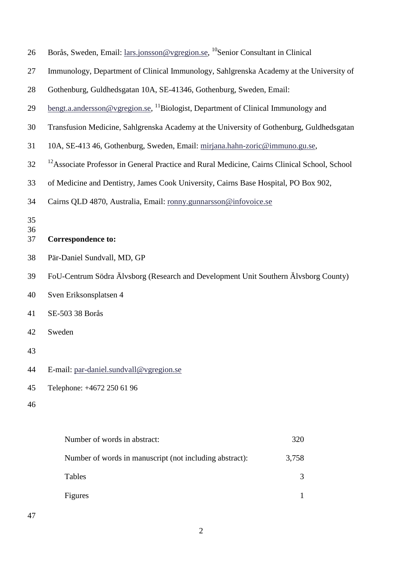| 26             | Borås, Sweden, Email: lars.jonsson@vgregion.se, <sup>10</sup> Senior Consultant in Clinical              |       |  |  |  |
|----------------|----------------------------------------------------------------------------------------------------------|-------|--|--|--|
| 27             | Immunology, Department of Clinical Immunology, Sahlgrenska Academy at the University of                  |       |  |  |  |
| 28             | Gothenburg, Guldhedsgatan 10A, SE-41346, Gothenburg, Sweden, Email:                                      |       |  |  |  |
| 29             | <u>bengt.a.andersson@vgregion.se</u> , <sup>11</sup> Biologist, Department of Clinical Immunology and    |       |  |  |  |
| 30             | Transfusion Medicine, Sahlgrenska Academy at the University of Gothenburg, Guldhedsgatan                 |       |  |  |  |
| 31             | 10A, SE-413 46, Gothenburg, Sweden, Email: mirjana.hahn-zoric@immuno.gu.se,                              |       |  |  |  |
| 32             | <sup>12</sup> Associate Professor in General Practice and Rural Medicine, Cairns Clinical School, School |       |  |  |  |
| 33             | of Medicine and Dentistry, James Cook University, Cairns Base Hospital, PO Box 902,                      |       |  |  |  |
| 34             | Cairns QLD 4870, Australia, Email: ronny.gunnarsson@infovoice.se                                         |       |  |  |  |
| 35<br>36<br>37 | <b>Correspondence to:</b>                                                                                |       |  |  |  |
| 38             | Pär-Daniel Sundvall, MD, GP                                                                              |       |  |  |  |
| 39             | FoU-Centrum Södra Älvsborg (Research and Development Unit Southern Älvsborg County)                      |       |  |  |  |
| 40             | Sven Eriksonsplatsen 4                                                                                   |       |  |  |  |
| 41             | SE-503 38 Borås                                                                                          |       |  |  |  |
| 42             | Sweden                                                                                                   |       |  |  |  |
| 43             |                                                                                                          |       |  |  |  |
| 44             | E-mail: par-daniel.sundvall@vgregion.se                                                                  |       |  |  |  |
| 45             | Telephone: +4672 250 61 96                                                                               |       |  |  |  |
| 46             |                                                                                                          |       |  |  |  |
|                | Number of words in abstract:                                                                             | 320   |  |  |  |
|                | Number of words in manuscript (not including abstract):                                                  | 3,758 |  |  |  |

- Tables 3
- Figures 1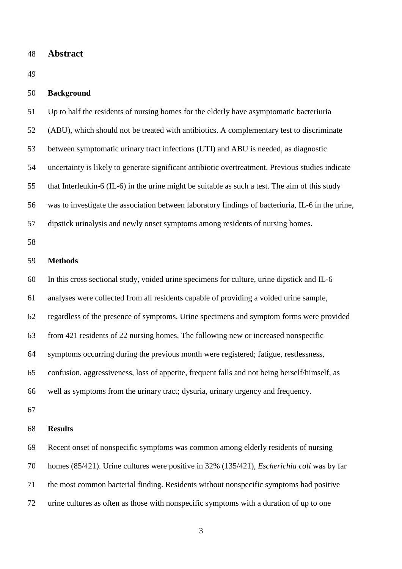#### 48 **Abstract**

49

#### 50 **Background**

51 Up to half the residents of nursing homes for the elderly have asymptomatic bacteriuria 52 (ABU), which should not be treated with antibiotics. A complementary test to discriminate 53 between symptomatic urinary tract infections (UTI) and ABU is needed, as diagnostic 54 uncertainty is likely to generate significant antibiotic overtreatment. Previous studies indicate 55 that Interleukin-6 (IL-6) in the urine might be suitable as such a test. The aim of this study 56 was to investigate the association between laboratory findings of bacteriuria, IL-6 in the urine,

57 dipstick urinalysis and newly onset symptoms among residents of nursing homes.

58

#### 59 **Methods**

60 In this cross sectional study, voided urine specimens for culture, urine dipstick and IL-6 61 analyses were collected from all residents capable of providing a voided urine sample, 62 regardless of the presence of symptoms. Urine specimens and symptom forms were provided 63 from 421 residents of 22 nursing homes. The following new or increased nonspecific 64 symptoms occurring during the previous month were registered; fatigue, restlessness, 65 confusion, aggressiveness, loss of appetite, frequent falls and not being herself/himself, as 66 well as symptoms from the urinary tract; dysuria, urinary urgency and frequency.

67

#### 68 **Results**

69 Recent onset of nonspecific symptoms was common among elderly residents of nursing 70 homes (85/421). Urine cultures were positive in 32% (135/421), *Escherichia coli* was by far 71 the most common bacterial finding. Residents without nonspecific symptoms had positive 72 urine cultures as often as those with nonspecific symptoms with a duration of up to one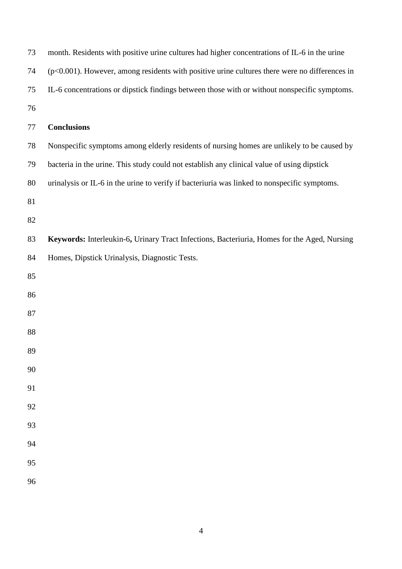| 73 | month. Residents with positive urine cultures had higher concentrations of IL-6 in the urine     |
|----|--------------------------------------------------------------------------------------------------|
| 74 | $(p<0.001)$ . However, among residents with positive urine cultures there were no differences in |
| 75 | IL-6 concentrations or dipstick findings between those with or without nonspecific symptoms.     |
| 76 |                                                                                                  |
| 77 | <b>Conclusions</b>                                                                               |
| 78 | Nonspecific symptoms among elderly residents of nursing homes are unlikely to be caused by       |
| 79 | bacteria in the urine. This study could not establish any clinical value of using dipstick       |
| 80 | urinalysis or IL-6 in the urine to verify if bacteriuria was linked to nonspecific symptoms.     |
| 81 |                                                                                                  |
| 82 |                                                                                                  |
| 83 | Keywords: Interleukin-6, Urinary Tract Infections, Bacteriuria, Homes for the Aged, Nursing      |
| 84 | Homes, Dipstick Urinalysis, Diagnostic Tests.                                                    |
| 85 |                                                                                                  |
| 86 |                                                                                                  |
| 87 |                                                                                                  |
| 88 |                                                                                                  |
| 89 |                                                                                                  |
| 90 |                                                                                                  |
| 91 |                                                                                                  |
| 92 |                                                                                                  |
| 93 |                                                                                                  |
| 94 |                                                                                                  |
| 95 |                                                                                                  |
| 96 |                                                                                                  |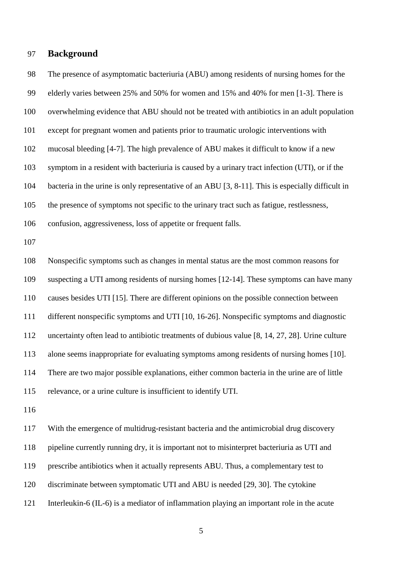## 97 **Background**

98 The presence of asymptomatic bacteriuria (ABU) among residents of nursing homes for the 99 elderly varies between 25% and 50% for women and 15% and 40% for men [1-3]. There is 100 overwhelming evidence that ABU should not be treated with antibiotics in an adult population 101 except for pregnant women and patients prior to traumatic urologic interventions with 102 mucosal bleeding [4-7]. The high prevalence of ABU makes it difficult to know if a new 103 symptom in a resident with bacteriuria is caused by a urinary tract infection (UTI), or if the 104 bacteria in the urine is only representative of an ABU [3, 8-11]. This is especially difficult in 105 the presence of symptoms not specific to the urinary tract such as fatigue, restlessness, 106 confusion, aggressiveness, loss of appetite or frequent falls. 107 108 Nonspecific symptoms such as changes in mental status are the most common reasons for 109 suspecting a UTI among residents of nursing homes [12-14]. These symptoms can have many 110 causes besides UTI [15]. There are different opinions on the possible connection between 111 different nonspecific symptoms and UTI [10, 16-26]. Nonspecific symptoms and diagnostic 112 uncertainty often lead to antibiotic treatments of dubious value [8, 14, 27, 28]. Urine culture 113 alone seems inappropriate for evaluating symptoms among residents of nursing homes [10]. 114 There are two major possible explanations, either common bacteria in the urine are of little 115 relevance, or a urine culture is insufficient to identify UTI. 116 117 With the emergence of multidrug-resistant bacteria and the antimicrobial drug discovery

118 pipeline currently running dry, it is important not to misinterpret bacteriuria as UTI and

- 119 prescribe antibiotics when it actually represents ABU. Thus, a complementary test to
- 120 discriminate between symptomatic UTI and ABU is needed [29, 30]. The cytokine
- 121 Interleukin-6 (IL-6) is a mediator of inflammation playing an important role in the acute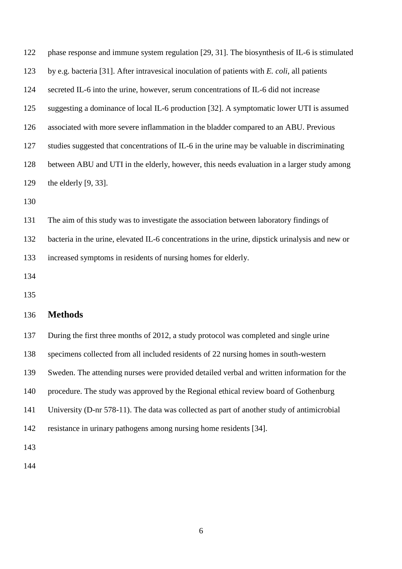| 122 | phase response and immune system regulation [29, 31]. The biosynthesis of IL-6 is stimulated     |
|-----|--------------------------------------------------------------------------------------------------|
| 123 | by e.g. bacteria [31]. After intravesical inoculation of patients with E. coli, all patients     |
| 124 | secreted IL-6 into the urine, however, serum concentrations of IL-6 did not increase             |
| 125 | suggesting a dominance of local IL-6 production [32]. A symptomatic lower UTI is assumed         |
| 126 | associated with more severe inflammation in the bladder compared to an ABU. Previous             |
| 127 | studies suggested that concentrations of IL-6 in the urine may be valuable in discriminating     |
| 128 | between ABU and UTI in the elderly, however, this needs evaluation in a larger study among       |
| 129 | the elderly $[9, 33]$ .                                                                          |
| 130 |                                                                                                  |
| 131 | The aim of this study was to investigate the association between laboratory findings of          |
| 132 | bacteria in the urine, elevated IL-6 concentrations in the urine, dipstick urinalysis and new or |
| 133 | increased symptoms in residents of nursing homes for elderly.                                    |

134

135

# 136 **Methods**

137 During the first three months of 2012, a study protocol was completed and single urine 138 specimens collected from all included residents of 22 nursing homes in south-western 139 Sweden. The attending nurses were provided detailed verbal and written information for the 140 procedure. The study was approved by the Regional ethical review board of Gothenburg 141 University (D-nr 578-11). The data was collected as part of another study of antimicrobial 142 resistance in urinary pathogens among nursing home residents [34].

143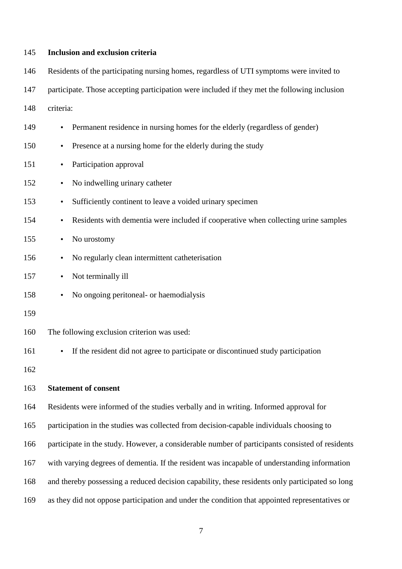#### 145 **Inclusion and exclusion criteria**

146 Residents of the participating nursing homes, regardless of UTI symptoms were invited to

147 participate. Those accepting participation were included if they met the following inclusion

148 criteria:

- 149 Permanent residence in nursing homes for the elderly (regardless of gender)
- 150 Presence at a nursing home for the elderly during the study
- 151 Participation approval
- 152 No indwelling urinary catheter
- 153 Sufficiently continent to leave a voided urinary specimen
- 154 Residents with dementia were included if cooperative when collecting urine samples
- 155 No urostomy
- 156 No regularly clean intermittent catheterisation
- 157 Not terminally ill
- 158 No ongoing peritoneal- or haemodialysis
- 159

160 The following exclusion criterion was used:

161 • If the resident did not agree to participate or discontinued study participation

162

#### 163 **Statement of consent**

164 Residents were informed of the studies verbally and in writing. Informed approval for

165 participation in the studies was collected from decision-capable individuals choosing to

166 participate in the study. However, a considerable number of participants consisted of residents

167 with varying degrees of dementia. If the resident was incapable of understanding information

168 and thereby possessing a reduced decision capability, these residents only participated so long

169 as they did not oppose participation and under the condition that appointed representatives or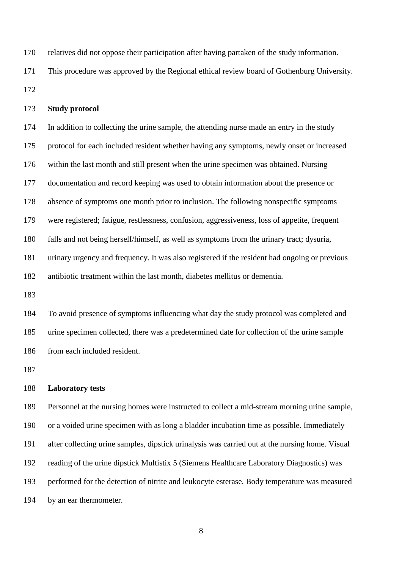170 relatives did not oppose their participation after having partaken of the study information. 171 This procedure was approved by the Regional ethical review board of Gothenburg University.

172

## 173 **Study protocol**

174 In addition to collecting the urine sample, the attending nurse made an entry in the study 175 protocol for each included resident whether having any symptoms, newly onset or increased 176 within the last month and still present when the urine specimen was obtained. Nursing 177 documentation and record keeping was used to obtain information about the presence or 178 absence of symptoms one month prior to inclusion. The following nonspecific symptoms 179 were registered; fatigue, restlessness, confusion, aggressiveness, loss of appetite, frequent 180 falls and not being herself/himself, as well as symptoms from the urinary tract; dysuria, 181 urinary urgency and frequency. It was also registered if the resident had ongoing or previous 182 antibiotic treatment within the last month, diabetes mellitus or dementia.

183

184 To avoid presence of symptoms influencing what day the study protocol was completed and 185 urine specimen collected, there was a predetermined date for collection of the urine sample 186 from each included resident.

187

#### 188 **Laboratory tests**

189 Personnel at the nursing homes were instructed to collect a mid-stream morning urine sample, 190 or a voided urine specimen with as long a bladder incubation time as possible. Immediately 191 after collecting urine samples, dipstick urinalysis was carried out at the nursing home. Visual 192 reading of the urine dipstick Multistix 5 (Siemens Healthcare Laboratory Diagnostics) was 193 performed for the detection of nitrite and leukocyte esterase. Body temperature was measured 194 by an ear thermometer.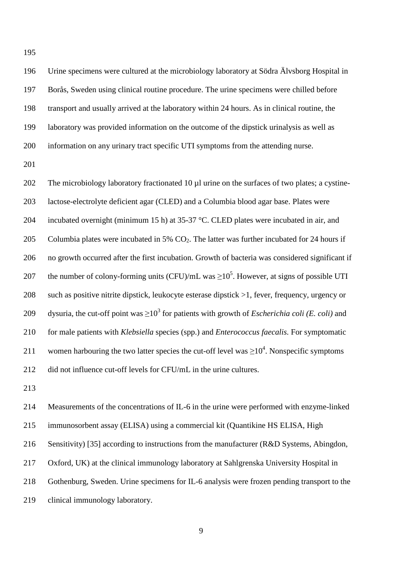195

196 Urine specimens were cultured at the microbiology laboratory at Södra Älvsborg Hospital in 197 Borås, Sweden using clinical routine procedure. The urine specimens were chilled before 198 transport and usually arrived at the laboratory within 24 hours. As in clinical routine, the 199 laboratory was provided information on the outcome of the dipstick urinalysis as well as 200 information on any urinary tract specific UTI symptoms from the attending nurse.

201

202 The microbiology laboratory fractionated 10 µl urine on the surfaces of two plates; a cystine-203 lactose-electrolyte deficient agar (CLED) and a Columbia blood agar base. Plates were 204 incubated overnight (minimum 15 h) at 35-37 °C. CLED plates were incubated in air, and 205 Columbia plates were incubated in 5%  $CO<sub>2</sub>$ . The latter was further incubated for 24 hours if 206 no growth occurred after the first incubation. Growth of bacteria was considered significant if 207 the number of colony-forming units (CFU)/mL was  $\geq 10^5$ . However, at signs of possible UTI 208 such as positive nitrite dipstick, leukocyte esterase dipstick >1, fever, frequency, urgency or 209 dysuria, the cut-off point was  $\geq 10^3$  for patients with growth of *Escherichia coli (E. coli)* and 210 for male patients with *Klebsiella* species (spp.) and *Enterococcus faecalis.* For symptomatic 211 women harbouring the two latter species the cut-off level was  $\geq 10^4$ . Nonspecific symptoms 212 did not influence cut-off levels for CFU/mL in the urine cultures.

213

214 Measurements of the concentrations of IL-6 in the urine were performed with enzyme-linked 215 immunosorbent assay (ELISA) using a commercial kit (Quantikine HS ELISA, High 216 Sensitivity) [35] according to instructions from the manufacturer (R&D Systems, Abingdon, 217 Oxford, UK) at the clinical immunology laboratory at Sahlgrenska University Hospital in 218 Gothenburg, Sweden. Urine specimens for IL-6 analysis were frozen pending transport to the 219 clinical immunology laboratory.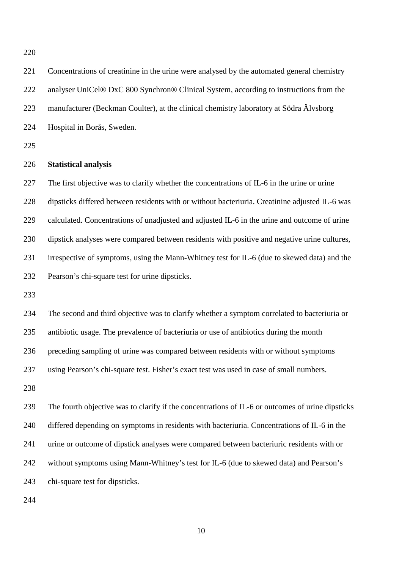220

221 Concentrations of creatinine in the urine were analysed by the automated general chemistry 222 analyser UniCel® DxC 800 Synchron® Clinical System, according to instructions from the 223 manufacturer (Beckman Coulter), at the clinical chemistry laboratory at Södra Älvsborg 224 Hospital in Borås, Sweden. 225 226 **Statistical analysis**  227 The first objective was to clarify whether the concentrations of IL-6 in the urine or urine 228 dipsticks differed between residents with or without bacteriuria. Creatinine adjusted IL-6 was 229 calculated. Concentrations of unadjusted and adjusted IL-6 in the urine and outcome of urine 230 dipstick analyses were compared between residents with positive and negative urine cultures, 231 irrespective of symptoms, using the Mann-Whitney test for IL-6 (due to skewed data) and the 232 Pearson's chi-square test for urine dipsticks. 233 234 The second and third objective was to clarify whether a symptom correlated to bacteriuria or 235 antibiotic usage. The prevalence of bacteriuria or use of antibiotics during the month 236 preceding sampling of urine was compared between residents with or without symptoms 237 using Pearson's chi-square test. Fisher's exact test was used in case of small numbers. 238 239 The fourth objective was to clarify if the concentrations of IL-6 or outcomes of urine dipsticks 240 differed depending on symptoms in residents with bacteriuria. Concentrations of IL-6 in the 241 urine or outcome of dipstick analyses were compared between bacteriuric residents with or 242 without symptoms using Mann-Whitney's test for IL-6 (due to skewed data) and Pearson's 243 chi-square test for dipsticks. 244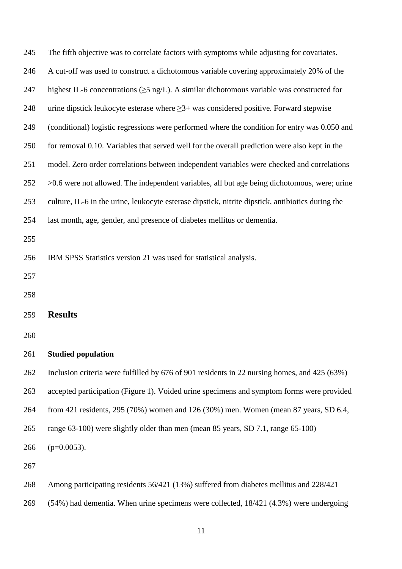| 245 | The fifth objective was to correlate factors with symptoms while adjusting for covariates.        |
|-----|---------------------------------------------------------------------------------------------------|
| 246 | A cut-off was used to construct a dichotomous variable covering approximately 20% of the          |
| 247 | highest IL-6 concentrations ( $\geq$ 5 ng/L). A similar dichotomous variable was constructed for  |
| 248 | urine dipstick leukocyte esterase where $\geq 3+$ was considered positive. Forward stepwise       |
| 249 | (conditional) logistic regressions were performed where the condition for entry was 0.050 and     |
| 250 | for removal 0.10. Variables that served well for the overall prediction were also kept in the     |
| 251 | model. Zero order correlations between independent variables were checked and correlations        |
| 252 | $>0.6$ were not allowed. The independent variables, all but age being dichotomous, were; urine    |
| 253 | culture, IL-6 in the urine, leukocyte esterase dipstick, nitrite dipstick, antibiotics during the |
| 254 | last month, age, gender, and presence of diabetes mellitus or dementia.                           |
| 255 |                                                                                                   |
| 256 | IBM SPSS Statistics version 21 was used for statistical analysis.                                 |
| 257 |                                                                                                   |
| 258 |                                                                                                   |
| 259 | <b>Results</b>                                                                                    |
| 260 |                                                                                                   |
| 261 | <b>Studied population</b>                                                                         |
| 262 | Inclusion criteria were fulfilled by 676 of 901 residents in 22 nursing homes, and 425 (63%)      |
| 263 | accepted participation (Figure 1). Voided urine specimens and symptom forms were provided         |
| 264 | from 421 residents, 295 (70%) women and 126 (30%) men. Women (mean 87 years, SD 6.4,              |
| 265 | range 63-100) were slightly older than men (mean 85 years, SD 7.1, range 65-100)                  |
| 266 | $(p=0.0053)$ .                                                                                    |
| 267 |                                                                                                   |
|     |                                                                                                   |

- 268 Among participating residents 56/421 (13%) suffered from diabetes mellitus and 228/421
- 269 (54%) had dementia. When urine specimens were collected, 18/421 (4.3%) were undergoing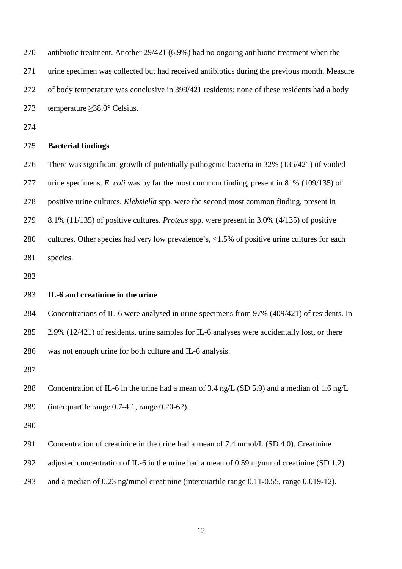| 270 | antibiotic treatment. Another $29/421$ (6.9%) had no ongoing antibiotic treatment when the          |
|-----|-----------------------------------------------------------------------------------------------------|
| 271 | urine specimen was collected but had received antibiotics during the previous month. Measure        |
| 272 | of body temperature was conclusive in 399/421 residents; none of these residents had a body         |
| 273 | temperature $\geq$ 38.0° Celsius.                                                                   |
| 274 |                                                                                                     |
| 275 | <b>Bacterial findings</b>                                                                           |
| 276 | There was significant growth of potentially pathogenic bacteria in 32% (135/421) of voided          |
| 277 | urine specimens. E. coli was by far the most common finding, present in $81\%$ (109/135) of         |
| 278 | positive urine cultures. <i>Klebsiella</i> spp. were the second most common finding, present in     |
| 279 | 8.1% (11/135) of positive cultures. <i>Proteus</i> spp. were present in 3.0% (4/135) of positive    |
| 280 | cultures. Other species had very low prevalence's, $\leq 1.5\%$ of positive urine cultures for each |
| 281 | species.                                                                                            |
| 282 |                                                                                                     |
| 283 | IL-6 and creatinine in the urine                                                                    |
| 284 | Concentrations of IL-6 were analysed in urine specimens from 97% (409/421) of residents. In         |
| 285 | 2.9% (12/421) of residents, urine samples for IL-6 analyses were accidentally lost, or there        |
| 286 | was not enough urine for both culture and IL-6 analysis.                                            |
| 287 |                                                                                                     |
| 288 | Concentration of IL-6 in the urine had a mean of 3.4 ng/L (SD 5.9) and a median of 1.6 ng/L         |
| 289 | (interquartile range $0.7-4.1$ , range $0.20-62$ ).                                                 |
| 290 |                                                                                                     |
| 291 | Concentration of creatinine in the urine had a mean of 7.4 mmol/L (SD 4.0). Creatinine              |
| 292 | adjusted concentration of IL-6 in the urine had a mean of 0.59 ng/mmol creatinine (SD 1.2)          |

293 and a median of 0.23 ng/mmol creatinine (interquartile range 0.11-0.55, range 0.019-12).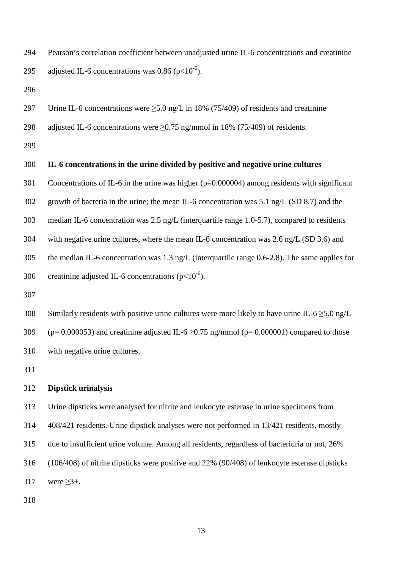- 294 Pearson's correlation coefficient between unadjusted urine IL-6 concentrations and creatinine 295 adjusted IL-6 concentrations was 0.86 ( $p<10^{-6}$ ).
- 296
- 297 Urine IL-6 concentrations were  $>5.0$  ng/L in 18% (75/409) of residents and creatinine
- 298 adjusted IL-6 concentrations were ≥0.75 ng/mmol in 18% (75/409) of residents.
- 299

#### 300 **IL-6 concentrations in the urine divided by positive and negative urine cultures**

- 301 Concentrations of IL-6 in the urine was higher (p=0.000004) among residents with significant
- 302 growth of bacteria in the urine; the mean IL-6 concentration was 5.1 ng/L (SD 8.7) and the
- 303 median IL-6 concentration was 2.5 ng/L (interquartile range 1.0-5.7), compared to residents
- 304 with negative urine cultures, where the mean IL-6 concentration was 2.6 ng/L (SD 3.6) and
- 305 the median IL-6 concentration was 1.3 ng/L (interquartile range 0.6-2.8). The same applies for
- 306 creatinine adjusted IL-6 concentrations ( $p<10^{-6}$ ).
- 307
- 308 Similarly residents with positive urine cultures were more likely to have urine IL-6  $\geq$ 5.0 ng/L 309 (p= 0.000053) and creatinine adjusted IL-6  $\geq$ 0.75 ng/mmol (p= 0.000001) compared to those 310 with negative urine cultures.
- 311

#### 312 **Dipstick urinalysis**

313 Urine dipsticks were analysed for nitrite and leukocyte esterase in urine specimens from 314 408/421 residents. Urine dipstick analyses were not performed in 13/421 residents, mostly 315 due to insufficient urine volume. Among all residents, regardless of bacteriuria or not, 26% 316 (106/408) of nitrite dipsticks were positive and 22% (90/408) of leukocyte esterase dipsticks 317 were  $\geq 3+$ .

318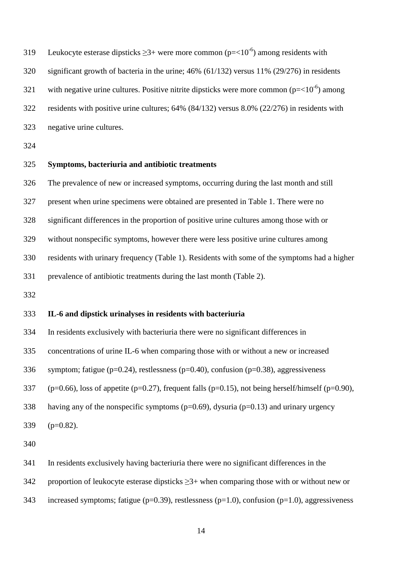- 219 Leukocyte esterase dipsticks  $\geq 3+$  were more common (p=<10<sup>-6</sup>) among residents with 320 significant growth of bacteria in the urine; 46% (61/132) versus 11% (29/276) in residents 321 with negative urine cultures. Positive nitrite dipsticks were more common ( $p=<10^{-6}$ ) among 322 residents with positive urine cultures; 64% (84/132) versus 8.0% (22/276) in residents with 323 negative urine cultures.
- 324

# 325 **Symptoms, bacteriuria and antibiotic treatments**

326 The prevalence of new or increased symptoms, occurring during the last month and still

327 present when urine specimens were obtained are presented in Table 1. There were no

328 significant differences in the proportion of positive urine cultures among those with or

329 without nonspecific symptoms, however there were less positive urine cultures among

330 residents with urinary frequency (Table 1). Residents with some of the symptoms had a higher

331 prevalence of antibiotic treatments during the last month (Table 2).

332

#### 333 **IL-6 and dipstick urinalyses in residents with bacteriuria**

334 In residents exclusively with bacteriuria there were no significant differences in

335 concentrations of urine IL-6 when comparing those with or without a new or increased

336 symptom; fatigue ( $p=0.24$ ), restlessness ( $p=0.40$ ), confusion ( $p=0.38$ ), aggressiveness

337 (p=0.66), loss of appetite (p=0.27), frequent falls (p=0.15), not being herself/himself (p=0.90),

- 338 having any of the nonspecific symptoms (p=0.69), dysuria (p=0.13) and urinary urgency
- 339 (p=0.82).

340

341 In residents exclusively having bacteriuria there were no significant differences in the

342 proportion of leukocyte esterase dipsticks  $\geq$ 3+ when comparing those with or without new or

343 increased symptoms; fatigue ( $p=0.39$ ), restlessness ( $p=1.0$ ), confusion ( $p=1.0$ ), aggressiveness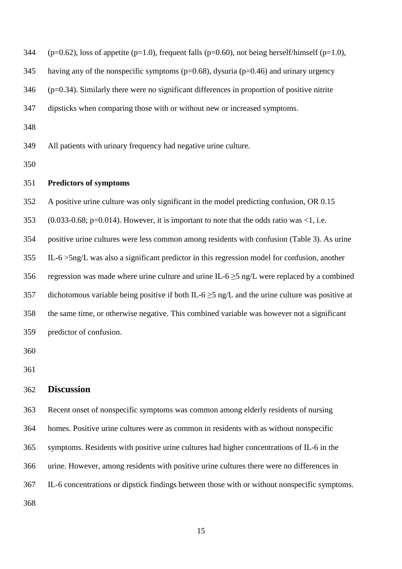344 (p=0.62), loss of appetite (p=1.0), frequent falls (p=0.60), not being herself/himself (p=1.0),

345 having any of the nonspecific symptoms (p=0.68), dysuria (p=0.46) and urinary urgency

346 (p=0.34). Similarly there were no significant differences in proportion of positive nitrite

347 dipsticks when comparing those with or without new or increased symptoms.

348

349 All patients with urinary frequency had negative urine culture.

350

#### 351 **Predictors of symptoms**

352 A positive urine culture was only significant in the model predicting confusion, OR 0.15

353 (0.033-0.68; p=0.014). However, it is important to note that the odds ratio was  $\leq 1$ , i.e.

354 positive urine cultures were less common among residents with confusion (Table 3). As urine

355 IL-6 >5ng/L was also a significant predictor in this regression model for confusion, another

356 regression was made where urine culture and urine IL-6  $\geq$ 5 ng/L were replaced by a combined

357 dichotomous variable being positive if both IL-6  $\geq$ 5 ng/L and the urine culture was positive at

358 the same time, or otherwise negative. This combined variable was however not a significant

359 predictor of confusion.

360

361

### 362 **Discussion**

363 Recent onset of nonspecific symptoms was common among elderly residents of nursing 364 homes. Positive urine cultures were as common in residents with as without nonspecific 365 symptoms. Residents with positive urine cultures had higher concentrations of IL-6 in the 366 urine. However, among residents with positive urine cultures there were no differences in 367 IL-6 concentrations or dipstick findings between those with or without nonspecific symptoms. 368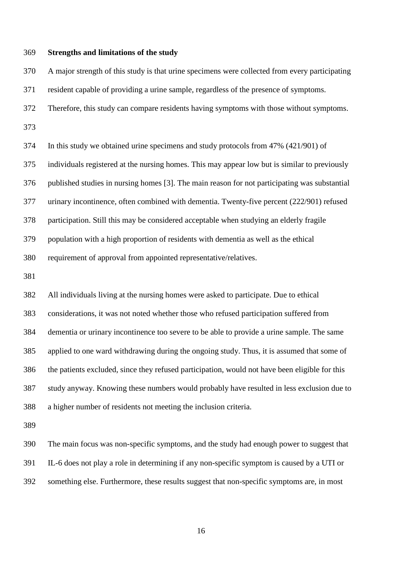#### 369 **Strengths and limitations of the study**

370 A major strength of this study is that urine specimens were collected from every participating 371 resident capable of providing a urine sample, regardless of the presence of symptoms. 372 Therefore, this study can compare residents having symptoms with those without symptoms. 373 374 In this study we obtained urine specimens and study protocols from 47% (421/901) of

375 individuals registered at the nursing homes. This may appear low but is similar to previously 376 published studies in nursing homes [3]. The main reason for not participating was substantial 377 urinary incontinence, often combined with dementia. Twenty-five percent (222/901) refused 378 participation. Still this may be considered acceptable when studying an elderly fragile 379 population with a high proportion of residents with dementia as well as the ethical 380 requirement of approval from appointed representative/relatives.

381

382 All individuals living at the nursing homes were asked to participate. Due to ethical 383 considerations, it was not noted whether those who refused participation suffered from 384 dementia or urinary incontinence too severe to be able to provide a urine sample. The same 385 applied to one ward withdrawing during the ongoing study. Thus, it is assumed that some of 386 the patients excluded, since they refused participation, would not have been eligible for this 387 study anyway. Knowing these numbers would probably have resulted in less exclusion due to 388 a higher number of residents not meeting the inclusion criteria.

389

390 The main focus was non-specific symptoms, and the study had enough power to suggest that 391 IL-6 does not play a role in determining if any non-specific symptom is caused by a UTI or 392 something else. Furthermore, these results suggest that non-specific symptoms are, in most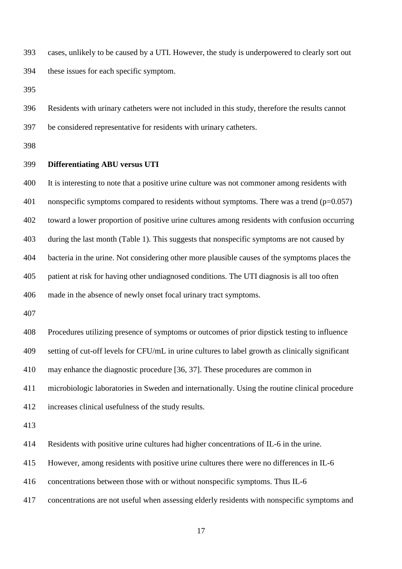393 cases, unlikely to be caused by a UTI. However, the study is underpowered to clearly sort out 394 these issues for each specific symptom.

395

396 Residents with urinary catheters were not included in this study, therefore the results cannot 397 be considered representative for residents with urinary catheters.

398

## 399 **Differentiating ABU versus UTI**

400 It is interesting to note that a positive urine culture was not commoner among residents with 401 nonspecific symptoms compared to residents without symptoms. There was a trend  $(p=0.057)$ 402 toward a lower proportion of positive urine cultures among residents with confusion occurring 403 during the last month (Table 1). This suggests that nonspecific symptoms are not caused by 404 bacteria in the urine. Not considering other more plausible causes of the symptoms places the 405 patient at risk for having other undiagnosed conditions. The UTI diagnosis is all too often 406 made in the absence of newly onset focal urinary tract symptoms. 407 408 Procedures utilizing presence of symptoms or outcomes of prior dipstick testing to influence 409 setting of cut-off levels for CFU/mL in urine cultures to label growth as clinically significant 410 may enhance the diagnostic procedure [36, 37]. These procedures are common in 411 microbiologic laboratories in Sweden and internationally. Using the routine clinical procedure 412 increases clinical usefulness of the study results.

413

414 Residents with positive urine cultures had higher concentrations of IL-6 in the urine.

415 However, among residents with positive urine cultures there were no differences in IL-6

416 concentrations between those with or without nonspecific symptoms. Thus IL-6

417 concentrations are not useful when assessing elderly residents with nonspecific symptoms and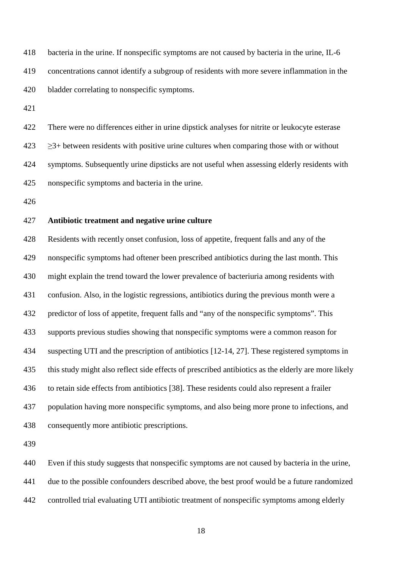418 bacteria in the urine. If nonspecific symptoms are not caused by bacteria in the urine, IL-6 419 concentrations cannot identify a subgroup of residents with more severe inflammation in the 420 bladder correlating to nonspecific symptoms.

421

422 There were no differences either in urine dipstick analyses for nitrite or leukocyte esterase  $423 \rightarrow 3+$  between residents with positive urine cultures when comparing those with or without 424 symptoms. Subsequently urine dipsticks are not useful when assessing elderly residents with 425 nonspecific symptoms and bacteria in the urine.

426

## 427 **Antibiotic treatment and negative urine culture**

428 Residents with recently onset confusion, loss of appetite, frequent falls and any of the 429 nonspecific symptoms had oftener been prescribed antibiotics during the last month. This 430 might explain the trend toward the lower prevalence of bacteriuria among residents with 431 confusion. Also, in the logistic regressions, antibiotics during the previous month were a 432 predictor of loss of appetite, frequent falls and "any of the nonspecific symptoms". This 433 supports previous studies showing that nonspecific symptoms were a common reason for 434 suspecting UTI and the prescription of antibiotics [12-14, 27]. These registered symptoms in 435 this study might also reflect side effects of prescribed antibiotics as the elderly are more likely 436 to retain side effects from antibiotics [38]. These residents could also represent a frailer 437 population having more nonspecific symptoms, and also being more prone to infections, and 438 consequently more antibiotic prescriptions.

439

440 Even if this study suggests that nonspecific symptoms are not caused by bacteria in the urine, 441 due to the possible confounders described above, the best proof would be a future randomized 442 controlled trial evaluating UTI antibiotic treatment of nonspecific symptoms among elderly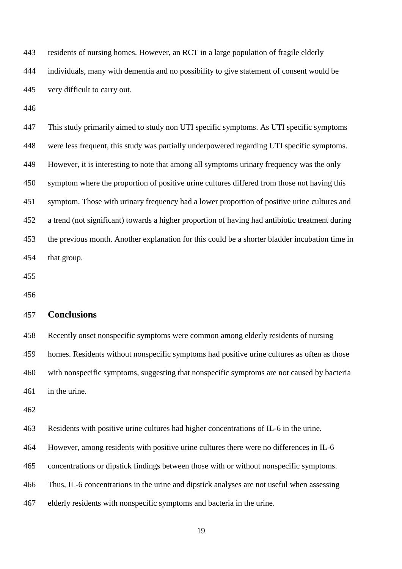443 residents of nursing homes. However, an RCT in a large population of fragile elderly 444 individuals, many with dementia and no possibility to give statement of consent would be 445 very difficult to carry out.

446

447 This study primarily aimed to study non UTI specific symptoms. As UTI specific symptoms 448 were less frequent, this study was partially underpowered regarding UTI specific symptoms. 449 However, it is interesting to note that among all symptoms urinary frequency was the only 450 symptom where the proportion of positive urine cultures differed from those not having this 451 symptom. Those with urinary frequency had a lower proportion of positive urine cultures and 452 a trend (not significant) towards a higher proportion of having had antibiotic treatment during 453 the previous month. Another explanation for this could be a shorter bladder incubation time in 454 that group.

455

456

## 457 **Conclusions**

458 Recently onset nonspecific symptoms were common among elderly residents of nursing 459 homes. Residents without nonspecific symptoms had positive urine cultures as often as those 460 with nonspecific symptoms, suggesting that nonspecific symptoms are not caused by bacteria 461 in the urine.

462

463 Residents with positive urine cultures had higher concentrations of IL-6 in the urine.

464 However, among residents with positive urine cultures there were no differences in IL-6

465 concentrations or dipstick findings between those with or without nonspecific symptoms.

466 Thus, IL-6 concentrations in the urine and dipstick analyses are not useful when assessing

467 elderly residents with nonspecific symptoms and bacteria in the urine.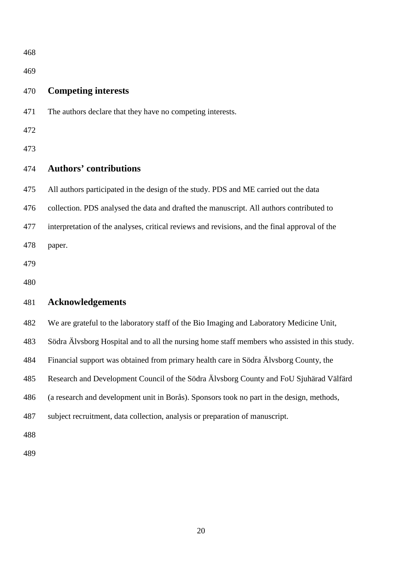| ۰,<br>×<br>۰,<br>۰. |
|---------------------|
|---------------------|

# 470 **Competing interests**

471 The authors declare that they have no competing interests.

472

473

# 474 **Authors' contributions**

475 All authors participated in the design of the study. PDS and ME carried out the data

476 collection. PDS analysed the data and drafted the manuscript. All authors contributed to

477 interpretation of the analyses, critical reviews and revisions, and the final approval of the

478 paper.

479

480

# 481 **Acknowledgements**

482 We are grateful to the laboratory staff of the Bio Imaging and Laboratory Medicine Unit,

483 Södra Älvsborg Hospital and to all the nursing home staff members who assisted in this study.

484 Financial support was obtained from primary health care in Södra Älvsborg County, the

485 Research and Development Council of the Södra Älvsborg County and FoU Sjuhärad Välfärd

486 (a research and development unit in Borås). Sponsors took no part in the design, methods,

487 subject recruitment, data collection, analysis or preparation of manuscript.

488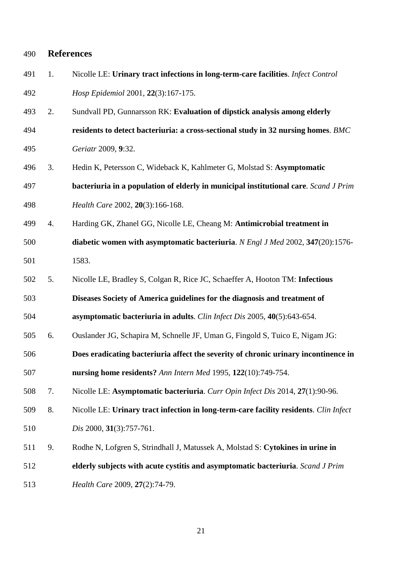## 490 **References**

| 491 | Nicolle LE: Urinary tract infections in long-term-care facilities. <i>Infect Control</i> |
|-----|------------------------------------------------------------------------------------------|
| 492 | <i>Hosp Epidemiol</i> 2001, 22(3):167-175.                                               |

493 2. Sundvall PD, Gunnarsson RK: **Evaluation of dipstick analysis among elderly**  494 **residents to detect bacteriuria: a cross-sectional study in 32 nursing homes**. *BMC* 

495 *Geriatr* 2009, **9**:32.

496 3. Hedin K, Petersson C, Wideback K, Kahlmeter G, Molstad S: **Asymptomatic** 

497 **bacteriuria in a population of elderly in municipal institutional care**. *Scand J Prim*  498 *Health Care* 2002, **20**(3):166-168.

- 499 4. Harding GK, Zhanel GG, Nicolle LE, Cheang M: **Antimicrobial treatment in**  500 **diabetic women with asymptomatic bacteriuria**. *N Engl J Med* 2002, **347**(20):1576- 501 1583.
- 
- 502 5. Nicolle LE, Bradley S, Colgan R, Rice JC, Schaeffer A, Hooton TM: **Infectious**

503 **Diseases Society of America guidelines for the diagnosis and treatment of**

504 **asymptomatic bacteriuria in adults**. *Clin Infect Dis* 2005, **40**(5):643-654.

- 505 6. Ouslander JG, Schapira M, Schnelle JF, Uman G, Fingold S, Tuico E, Nigam JG:
- 506 **Does eradicating bacteriuria affect the severity of chronic urinary incontinence in**  507 **nursing home residents?** *Ann Intern Med* 1995, **122**(10):749-754.
- 508 7. Nicolle LE: **Asymptomatic bacteriuria**. *Curr Opin Infect Dis* 2014, **27**(1):90-96.
- 509 8. Nicolle LE: **Urinary tract infection in long-term-care facility residents**. *Clin Infect*
- 510 *Dis* 2000, **31**(3):757-761.
- 511 9. Rodhe N, Lofgren S, Strindhall J, Matussek A, Molstad S: **Cytokines in urine in**
- 512 **elderly subjects with acute cystitis and asymptomatic bacteriuria**. *Scand J Prim*
- 513 *Health Care* 2009, **27**(2):74-79.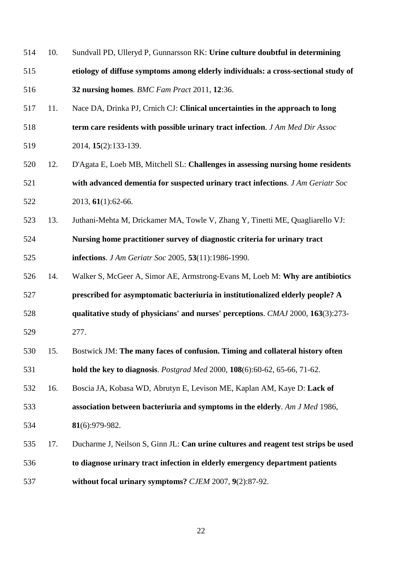- 514 10. Sundvall PD, Ulleryd P, Gunnarsson RK: **Urine culture doubtful in determining**  515 **etiology of diffuse symptoms among elderly individuals: a cross-sectional study of**  516 **32 nursing homes**. *BMC Fam Pract* 2011, **12**:36.
- 517 11. Nace DA, Drinka PJ, Crnich CJ: **Clinical uncertainties in the approach to long**
- 518 **term care residents with possible urinary tract infection**. *J Am Med Dir Assoc*
- 519 2014, **15**(2):133-139.
- 520 12. D'Agata E, Loeb MB, Mitchell SL: **Challenges in assessing nursing home residents**  521 **with advanced dementia for suspected urinary tract infections**. *J Am Geriatr Soc*  522 2013, **61**(1):62-66.
- 523 13. Juthani-Mehta M, Drickamer MA, Towle V, Zhang Y, Tinetti ME, Quagliarello VJ: 524 **Nursing home practitioner survey of diagnostic criteria for urinary tract**  525 **infections**. *J Am Geriatr Soc* 2005, **53**(11):1986-1990.
- 526 14. Walker S, McGeer A, Simor AE, Armstrong-Evans M, Loeb M: **Why are antibiotics**  527 **prescribed for asymptomatic bacteriuria in institutionalized elderly people? A**  528 **qualitative study of physicians' and nurses' perceptions**. *CMAJ* 2000, **163**(3):273-
- 529 277.
- 530 15. Bostwick JM: **The many faces of confusion. Timing and collateral history often**  531 **hold the key to diagnosis**. *Postgrad Med* 2000, **108**(6):60-62, 65-66, 71-62.
- 532 16. Boscia JA, Kobasa WD, Abrutyn E, Levison ME, Kaplan AM, Kaye D: **Lack of**  533 **association between bacteriuria and symptoms in the elderly**. *Am J Med* 1986,
- 534 **81**(6):979-982.
- 535 17. Ducharme J, Neilson S, Ginn JL: **Can urine cultures and reagent test strips be used**  536 **to diagnose urinary tract infection in elderly emergency department patients**  537 **without focal urinary symptoms?** *CJEM* 2007, **9**(2):87-92.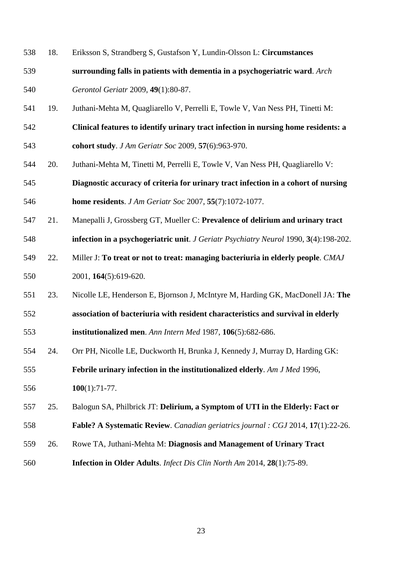- 538 18. Eriksson S, Strandberg S, Gustafson Y, Lundin-Olsson L: **Circumstances**
- 539 **surrounding falls in patients with dementia in a psychogeriatric ward**. *Arch*  540 *Gerontol Geriatr* 2009, **49**(1):80-87.
- 541 19. Juthani-Mehta M, Quagliarello V, Perrelli E, Towle V, Van Ness PH, Tinetti M:
- 542 **Clinical features to identify urinary tract infection in nursing home residents: a**  543 **cohort study**. *J Am Geriatr Soc* 2009, **57**(6):963-970.
- 
- 544 20. Juthani-Mehta M, Tinetti M, Perrelli E, Towle V, Van Ness PH, Quagliarello V:
- 545 **Diagnostic accuracy of criteria for urinary tract infection in a cohort of nursing**  546 **home residents**. *J Am Geriatr Soc* 2007, **55**(7):1072-1077.
- 547 21. Manepalli J, Grossberg GT, Mueller C: **Prevalence of delirium and urinary tract**

548 **infection in a psychogeriatric unit**. *J Geriatr Psychiatry Neurol* 1990, **3**(4):198-202.

- 549 22. Miller J: **To treat or not to treat: managing bacteriuria in elderly people**. *CMAJ*  550 2001, **164**(5):619-620.
- 551 23. Nicolle LE, Henderson E, Bjornson J, McIntyre M, Harding GK, MacDonell JA: **The**
- 552 **association of bacteriuria with resident characteristics and survival in elderly**  553 **institutionalized men**. *Ann Intern Med* 1987, **106**(5):682-686.
- 554 24. Orr PH, Nicolle LE, Duckworth H, Brunka J, Kennedy J, Murray D, Harding GK:

555 **Febrile urinary infection in the institutionalized elderly**. *Am J Med* 1996,

556 **100**(1):71-77.

- 557 25. Balogun SA, Philbrick JT: **Delirium, a Symptom of UTI in the Elderly: Fact or**
- 558 **Fable? A Systematic Review**. *Canadian geriatrics journal : CGJ* 2014, **17**(1):22-26.
- 559 26. Rowe TA, Juthani-Mehta M: **Diagnosis and Management of Urinary Tract**
- 560 **Infection in Older Adults**. *Infect Dis Clin North Am* 2014, **28**(1):75-89.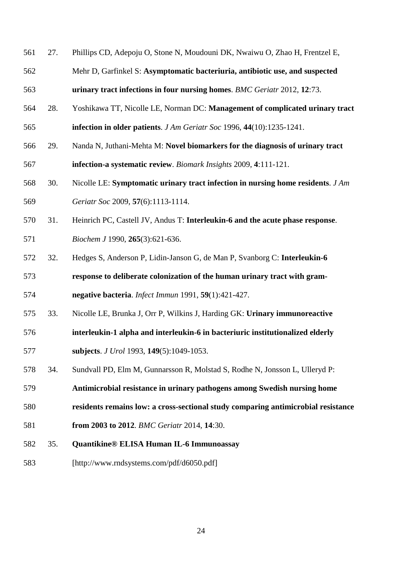- 561 27. Phillips CD, Adepoju O, Stone N, Moudouni DK, Nwaiwu O, Zhao H, Frentzel E,
- 562 Mehr D, Garfinkel S: **Asymptomatic bacteriuria, antibiotic use, and suspected**  563 **urinary tract infections in four nursing homes**. *BMC Geriatr* 2012, **12**:73.
- 564 28. Yoshikawa TT, Nicolle LE, Norman DC: **Management of complicated urinary tract**  565 **infection in older patients**. *J Am Geriatr Soc* 1996, **44**(10):1235-1241.
- 566 29. Nanda N, Juthani-Mehta M: **Novel biomarkers for the diagnosis of urinary tract**  567 **infection-a systematic review**. *Biomark Insights* 2009, **4**:111-121.
- 568 30. Nicolle LE: **Symptomatic urinary tract infection in nursing home residents**. *J Am*  569 *Geriatr Soc* 2009, **57**(6):1113-1114.
- 570 31. Heinrich PC, Castell JV, Andus T: **Interleukin-6 and the acute phase response**. 571 *Biochem J* 1990, **265**(3):621-636.
- 572 32. Hedges S, Anderson P, Lidin-Janson G, de Man P, Svanborg C: **Interleukin-6**

573 **response to deliberate colonization of the human urinary tract with gram-**574 **negative bacteria**. *Infect Immun* 1991, **59**(1):421-427.

- 575 33. Nicolle LE, Brunka J, Orr P, Wilkins J, Harding GK: **Urinary immunoreactive**
- 576 **interleukin-1 alpha and interleukin-6 in bacteriuric institutionalized elderly**  577 **subjects**. *J Urol* 1993, **149**(5):1049-1053.
- 578 34. Sundvall PD, Elm M, Gunnarsson R, Molstad S, Rodhe N, Jonsson L, Ulleryd P:
- 579 **Antimicrobial resistance in urinary pathogens among Swedish nursing home**
- 580 **residents remains low: a cross-sectional study comparing antimicrobial resistance**
- 581 **from 2003 to 2012**. *BMC Geriatr* 2014, **14**:30.
- 582 35. **Quantikine® ELISA Human IL-6 Immunoassay**
- 583 [http://www.rndsystems.com/pdf/d6050.pdf]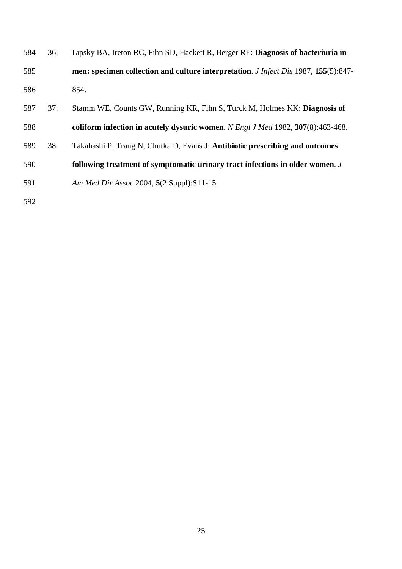| 584 | 36. | Lipsky BA, Ireton RC, Fihn SD, Hackett R, Berger RE: Diagnosis of bacteriuria in           |
|-----|-----|--------------------------------------------------------------------------------------------|
| 585 |     | men: specimen collection and culture interpretation. <i>J Infect Dis</i> 1987, 155(5):847- |
| 586 |     | 854.                                                                                       |
| 587 | 37. | Stamm WE, Counts GW, Running KR, Fihn S, Turck M, Holmes KK: Diagnosis of                  |
| 588 |     | coliform infection in acutely dysuric women. N Engl J Med 1982, 307(8):463-468.            |
| 589 | 38. | Takahashi P, Trang N, Chutka D, Evans J: Antibiotic prescribing and outcomes               |
| 590 |     | following treatment of symptomatic urinary tract infections in older women. J              |

591 *Am Med Dir Assoc* 2004, **5**(2 Suppl):S11-15.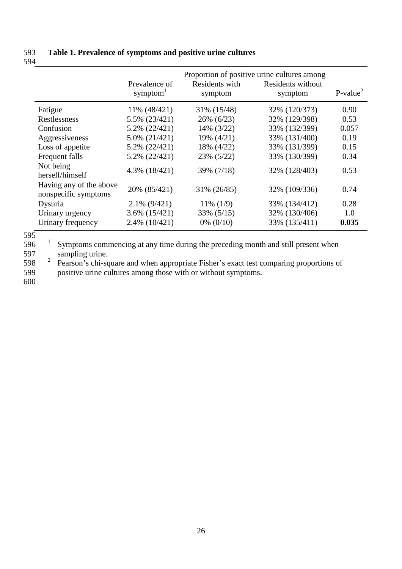# 593 **Table 1. Prevalence of symptoms and positive urine cultures**  594

|                                                 | Prevalence of<br>symptom <sup>1</sup> | Residents with<br>symptom | Proportion of positive urine cultures among<br>Residents without<br>symptom | $P-value2$ |
|-------------------------------------------------|---------------------------------------|---------------------------|-----------------------------------------------------------------------------|------------|
| Fatigue                                         | 11% (48/421)                          | 31% (15/48)               | 32% (120/373)                                                               | 0.90       |
| Restlessness                                    | 5.5% (23/421)                         | $26\% (6/23)$             | 32% (129/398)                                                               | 0.53       |
| Confusion                                       | 5.2% (22/421)                         | 14% (3/22)                | 33% (132/399)                                                               | 0.057      |
| Aggressiveness                                  | $5.0\%$ $(21/421)$                    | 19% (4/21)                | 33% (131/400)                                                               | 0.19       |
| Loss of appetite                                | 5.2% (22/421)                         | 18% (4/22)                | 33% (131/399)                                                               | 0.15       |
| Frequent falls                                  | 5.2% (22/421)                         | 23% (5/22)                | 33% (130/399)                                                               | 0.34       |
| Not being<br>herself/himself                    | 4.3% (18/421)                         | 39% (7/18)                | 32% (128/403)                                                               | 0.53       |
| Having any of the above<br>nonspecific symptoms | 20% (85/421)                          | 31% (26/85)               | 32% (109/336)                                                               | 0.74       |
| Dysuria                                         | $2.1\%$ (9/421)                       | $11\%$ (1/9)              | 33% (134/412)                                                               | 0.28       |
| Urinary urgency                                 | $3.6\%$ $(15/421)$                    | 33% (5/15)                | 32% (130/406)                                                               | 1.0        |
| Urinary frequency                               | 2.4% (10/421)                         | $0\%$ (0/10)              | 33% (135/411)                                                               | 0.035      |

 $rac{1}{595}$ 

 $\frac{1596}{596}$  Symptoms commencing at any time during the preceding month and still present when<br>597 597 sampling urine.<br>598  $\frac{2}{3}$  Pearson's chi-so

 $2598$  Pearson's chi-square and when appropriate Fisher's exact test comparing proportions of positive urine cultures among those with or without symptoms. positive urine cultures among those with or without symptoms.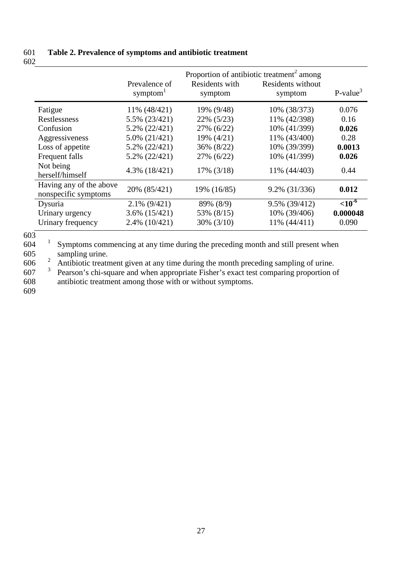## 601 **Table 2. Prevalence of symptoms and antibiotic treatment**  602

|                                                 | Prevalence of<br>symptom <sup>1</sup> | Residents with<br>symptom | Proportion of antibiotic treatment <sup>2</sup> among<br>Residents without<br>symptom | $P-value3$   |
|-------------------------------------------------|---------------------------------------|---------------------------|---------------------------------------------------------------------------------------|--------------|
| Fatigue                                         | 11% (48/421)                          | 19% (9/48)                | 10% (38/373)                                                                          | 0.076        |
| Restlessness                                    | 5.5% (23/421)                         | 22% (5/23)                | 11% (42/398)                                                                          | 0.16         |
| Confusion                                       | 5.2% (22/421)                         | 27% (6/22)                | 10% (41/399)                                                                          | 0.026        |
| Aggressiveness                                  | 5.0% (21/421)                         | 19% (4/21)                | 11% (43/400)                                                                          | 0.28         |
| Loss of appetite                                | 5.2% (22/421)                         | 36% (8/22)                | 10% (39/399)                                                                          | 0.0013       |
| Frequent falls                                  | 5.2% (22/421)                         | 27% (6/22)                | 10% (41/399)                                                                          | 0.026        |
| Not being<br>herself/himself                    | $4.3\%$ $(18/421)$                    | $17\%$ (3/18)             | 11% (44/403)                                                                          | 0.44         |
| Having any of the above<br>nonspecific symptoms | 20% (85/421)                          | 19% (16/85)               | $9.2\%$ (31/336)                                                                      | 0.012        |
| Dysuria                                         | $2.1\%$ (9/421)                       | 89% (8/9)                 | 9.5% (39/412)                                                                         | ${<}10^{-6}$ |
| Urinary urgency                                 | $3.6\%$ $(15/421)$                    | 53% (8/15)                | 10% (39/406)                                                                          | 0.000048     |
| Urinary frequency                               | $2.4\%$ (10/421)                      | $30\%$ $(3/10)$           | 11% (44/411)                                                                          | 0.090        |

603

 $1604$  Symptoms commencing at any time during the preceding month and still present when 605 sampling urine.<br>606  $\frac{2}{3}$  Antibiotic treats

 $\frac{2}{3}$  Antibiotic treatment given at any time during the month preceding sampling of urine.<br>607  $\frac{3}{3}$  Pearson's chi-square and when appropriate Fisher's exact test comparing proportion of

Pearson's chi-square and when appropriate Fisher's exact test comparing proportion of 608 antibiotic treatment among those with or without symptoms.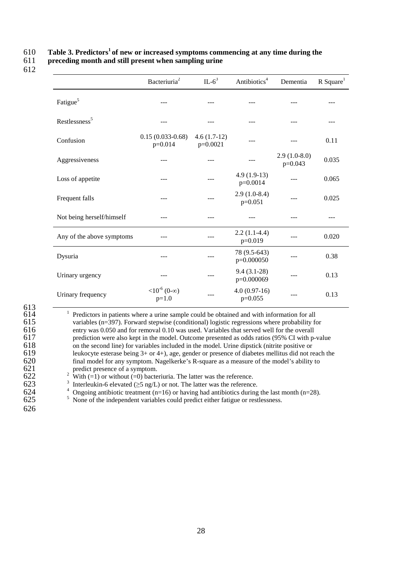# **Table 3. Predictors<sup>1</sup>**610 **of new or increased symptoms commencing at any time during the**

611 **preceding month and still present when sampling urine** 

|                           | Bacteriuria <sup>2</sup>             | $IL-6^3$                    | Antibiotics <sup>4</sup>    | Dementia                    | $R$ Square <sup>1</sup> |
|---------------------------|--------------------------------------|-----------------------------|-----------------------------|-----------------------------|-------------------------|
| Fatigue <sup>5</sup>      |                                      |                             |                             |                             |                         |
| Restlessness <sup>5</sup> |                                      |                             |                             |                             |                         |
| Confusion                 | $0.15(0.033-0.68)$<br>$p=0.014$      | $4.6(1.7-12)$<br>$p=0.0021$ |                             |                             | 0.11                    |
| Aggressiveness            |                                      |                             |                             | $2.9(1.0-8.0)$<br>$p=0.043$ | 0.035                   |
| Loss of appetite          |                                      |                             | $4.9(1.9-13)$<br>$p=0.0014$ |                             | 0.065                   |
| Frequent falls            |                                      |                             | $2.9(1.0-8.4)$<br>$p=0.051$ |                             | 0.025                   |
| Not being herself/himself |                                      |                             |                             |                             |                         |
| Any of the above symptoms |                                      |                             | $2.2(1.1-4.4)$<br>$p=0.019$ |                             | 0.020                   |
| Dysuria                   |                                      |                             | 78 (9.5-643)<br>p=0.000050  |                             | 0.38                    |
| Urinary urgency           |                                      |                             | $9.4(3.1-28)$<br>p=0.000069 |                             | 0.13                    |
| Urinary frequency         | $<10^{-6}$ (0- $\infty$ )<br>$p=1.0$ |                             | $4.0(0.97-16)$<br>$p=0.055$ |                             | 0.13                    |

 613 1 614 Predictors in patients where a urine sample could be obtained and with information for all 615 variables ( $n=397$ ). Forward stepwise (conditional) logistic regressions where probability for entry was 0.050 and for removal 0.10 was used. Variables that served well for the overall 616 entry was 0.050 and for removal 0.10 was used. Variables that served well for the overall prediction were also kept in the model. Outcome presented as odds ratios (95% CI with p-617 prediction were also kept in the model. Outcome presented as odds ratios (95% CI with p-value on the second line) for variables included in the model. Urine dipstick (nitrite positive or 618 on the second line) for variables included in the model. Urine dipstick (nitrite positive or  $619$  leukocyte esterase being 3+ or 4+), age, gender or presence of diabetes mellitus did not re 619 leukocyte esterase being  $3+$  or  $4+$ ), age, gender or presence of diabetes mellitus did not reach the final model for any symptom. Nagelkerke's R-square as a measure of the model's ability to 620 final model for any symptom. Nagelkerke's R-square as a measure of the model's ability to predict presence of a symptom. 621 predict presence of a symptom.<br>622 <sup>2</sup> With (=1) or without (=0) bacte

622 <sup>2</sup> With (=1) or without (=0) bacteriuria. The latter was the reference.<br>623 **11.1** Interleukin-6 elevated (>5 ng/L) or not. The latter was the reference

623 **Interleukin-6 elevated** ( $\geq$ 5 ng/L) or not. The latter was the reference.<br>624 <sup>4</sup> Ongoing antibiotic treatment (n=16) or having had antibiotics during

 $^{4}$  Ongoing antibiotic treatment (n=16) or having had antibiotics during the last month (n=28).<br>625 S None of the independent variables could predict either fatigue or restlessness.

- None of the independent variables could predict either fatigue or restlessness.
- 626